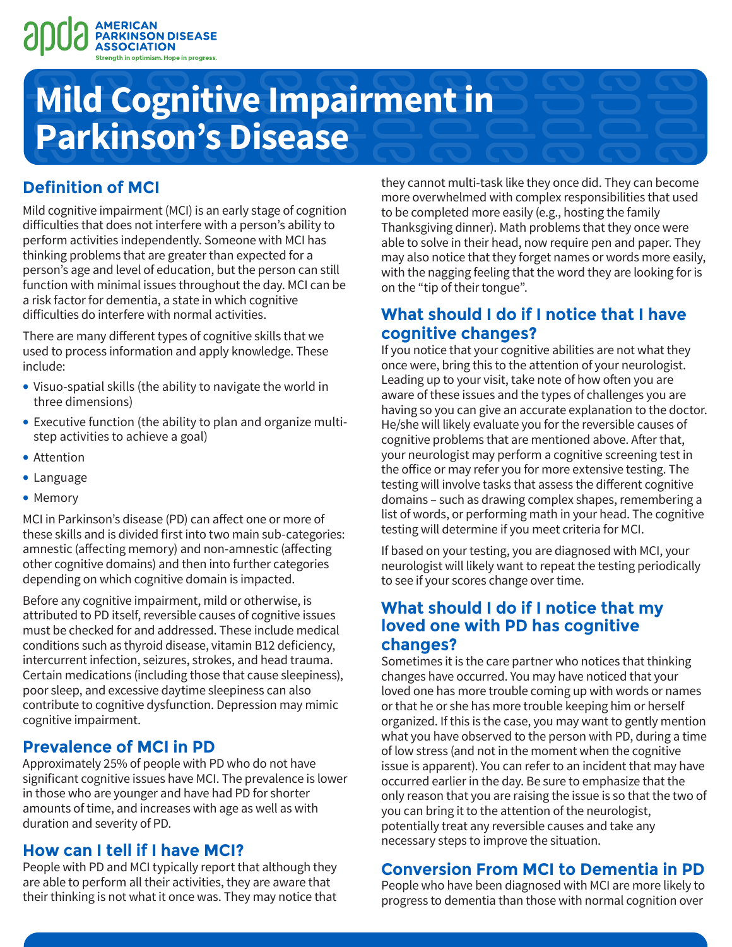

# **Mild Cognitive Impairment in Parkinson's Disease**

# **Definition of MCI**

Mild cognitive impairment (MCI) is an early stage of cognition difficulties that does not interfere with a person's ability to perform activities independently. Someone with MCI has thinking problems that are greater than expected for a person's age and level of education, but the person can still function with minimal issues throughout the day. MCI can be a risk factor for dementia, a state in which cognitive difficulties do interfere with normal activities.

There are many different types of cognitive skills that we used to process information and apply knowledge. These include:

- Visuo-spatial skills (the ability to navigate the world in three dimensions)
- Executive function (the ability to plan and organize multistep activities to achieve a goal)
- Attention
- Language
- Memory

MCI in Parkinson's disease (PD) can affect one or more of these skills and is divided first into two main sub-categories: amnestic (affecting memory) and non-amnestic (affecting other cognitive domains) and then into further categories depending on which cognitive domain is impacted.

Before any cognitive impairment, mild or otherwise, is attributed to PD itself, reversible causes of cognitive issues must be checked for and addressed. These include medical conditions such as thyroid disease, vitamin B12 deficiency, intercurrent infection, seizures, strokes, and head trauma. Certain medications (including those that cause sleepiness), poor sleep, and excessive daytime sleepiness can also contribute to cognitive dysfunction. Depression may mimic cognitive impairment.

### **Prevalence of MCI in PD**

Approximately 25% of people with PD who do not have significant cognitive issues have MCI. The prevalence is lower in those who are younger and have had PD for shorter amounts of time, and increases with age as well as with duration and severity of PD.

### **How can I tell if I have MCI?**

People with PD and MCI typically report that although they are able to perform all their activities, they are aware that their thinking is not what it once was. They may notice that they cannot multi-task like they once did. They can become more overwhelmed with complex responsibilities that used to be completed more easily (e.g., hosting the family Thanksgiving dinner). Math problems that they once were able to solve in their head, now require pen and paper. They may also notice that they forget names or words more easily, with the nagging feeling that the word they are looking for is on the "tip of their tongue".

## **What should I do if I notice that I have cognitive changes?**

If you notice that your cognitive abilities are not what they once were, bring this to the attention of your neurologist. Leading up to your visit, take note of how often you are aware of these issues and the types of challenges you are having so you can give an accurate explanation to the doctor. He/she will likely evaluate you for the reversible causes of cognitive problems that are mentioned above. After that, your neurologist may perform a cognitive screening test in the office or may refer you for more extensive testing. The testing will involve tasks that assess the different cognitive domains – such as drawing complex shapes, remembering a list of words, or performing math in your head. The cognitive testing will determine if you meet criteria for MCI.

If based on your testing, you are diagnosed with MCI, your neurologist will likely want to repeat the testing periodically to see if your scores change over time.

### **What should I do if I notice that my loved one with PD has cognitive changes?**

Sometimes it is the care partner who notices that thinking changes have occurred. You may have noticed that your loved one has more trouble coming up with words or names or that he or she has more trouble keeping him or herself organized. If this is the case, you may want to gently mention what you have observed to the person with PD, during a time of low stress (and not in the moment when the cognitive issue is apparent). You can refer to an incident that may have occurred earlier in the day. Be sure to emphasize that the only reason that you are raising the issue is so that the two of you can bring it to the attention of the neurologist, potentially treat any reversible causes and take any necessary steps to improve the situation.

# **Conversion From MCI to Dementia in PD**

People who have been diagnosed with MCI are more likely to progress to dementia than those with normal cognition over